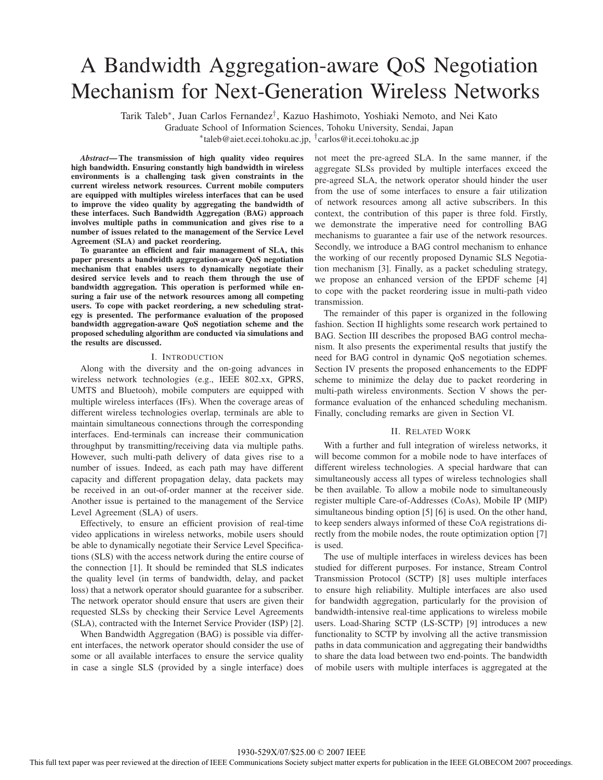# A Bandwidth Aggregation-aware QoS Negotiation Mechanism for Next-Generation Wireless Networks

Tarik Taleb∗, Juan Carlos Fernandez†, Kazuo Hashimoto, Yoshiaki Nemoto, and Nei Kato Graduate School of Information Sciences, Tohoku University, Sendai, Japan ∗taleb@aiet.ecei.tohoku.ac.jp, †carlos@it.ecei.tohoku.ac.jp

*Abstract***— The transmission of high quality video requires high bandwidth. Ensuring constantly high bandwidth in wireless environments is a challenging task given constraints in the current wireless network resources. Current mobile computers are equipped with multiples wireless interfaces that can be used to improve the video quality by aggregating the bandwidth of these interfaces. Such Bandwidth Aggregation (BAG) approach involves multiple paths in communication and gives rise to a number of issues related to the management of the Service Level Agreement (SLA) and packet reordering.**

**To guarantee an efficient and fair management of SLA, this paper presents a bandwidth aggregation-aware QoS negotiation mechanism that enables users to dynamically negotiate their desired service levels and to reach them through the use of bandwidth aggregation. This operation is performed while ensuring a fair use of the network resources among all competing users. To cope with packet reordering, a new scheduling strategy is presented. The performance evaluation of the proposed bandwidth aggregation-aware QoS negotiation scheme and the proposed scheduling algorithm are conducted via simulations and the results are discussed.**

# I. INTRODUCTION

Along with the diversity and the on-going advances in wireless network technologies (e.g., IEEE 802.xx, GPRS, UMTS and Bluetooh), mobile computers are equipped with multiple wireless interfaces (IFs). When the coverage areas of different wireless technologies overlap, terminals are able to maintain simultaneous connections through the corresponding interfaces. End-terminals can increase their communication throughput by transmitting/receiving data via multiple paths. However, such multi-path delivery of data gives rise to a number of issues. Indeed, as each path may have different capacity and different propagation delay, data packets may be received in an out-of-order manner at the receiver side. Another issue is pertained to the management of the Service Level Agreement (SLA) of users.

Effectively, to ensure an efficient provision of real-time video applications in wireless networks, mobile users should be able to dynamically negotiate their Service Level Specifications (SLS) with the access network during the entire course of the connection [1]. It should be reminded that SLS indicates the quality level (in terms of bandwidth, delay, and packet loss) that a network operator should guarantee for a subscriber. The network operator should ensure that users are given their requested SLSs by checking their Service Level Agreements (SLA), contracted with the Internet Service Provider (ISP) [2].

When Bandwidth Aggregation (BAG) is possible via different interfaces, the network operator should consider the use of some or all available interfaces to ensure the service quality in case a single SLS (provided by a single interface) does not meet the pre-agreed SLA. In the same manner, if the aggregate SLSs provided by multiple interfaces exceed the pre-agreed SLA, the network operator should hinder the user from the use of some interfaces to ensure a fair utilization of network resources among all active subscribers. In this context, the contribution of this paper is three fold. Firstly, we demonstrate the imperative need for controlling BAG mechanisms to guarantee a fair use of the network resources. Secondly, we introduce a BAG control mechanism to enhance the working of our recently proposed Dynamic SLS Negotiation mechanism [3]. Finally, as a packet scheduling strategy, we propose an enhanced version of the EPDF scheme [4] to cope with the packet reordering issue in multi-path video transmission.

The remainder of this paper is organized in the following fashion. Section II highlights some research work pertained to BAG. Section III describes the proposed BAG control mechanism. It also presents the experimental results that justify the need for BAG control in dynamic QoS negotiation schemes. Section IV presents the proposed enhancements to the EDPF scheme to minimize the delay due to packet reordering in multi-path wireless environments. Section V shows the performance evaluation of the enhanced scheduling mechanism. Finally, concluding remarks are given in Section VI.

#### II. RELATED WORK

With a further and full integration of wireless networks, it will become common for a mobile node to have interfaces of different wireless technologies. A special hardware that can simultaneously access all types of wireless technologies shall be then available. To allow a mobile node to simultaneously register multiple Care-of-Addresses (CoAs), Mobile IP (MIP) simultaneous binding option [5] [6] is used. On the other hand, to keep senders always informed of these CoA registrations directly from the mobile nodes, the route optimization option [7] is used.

The use of multiple interfaces in wireless devices has been studied for different purposes. For instance, Stream Control Transmission Protocol (SCTP) [8] uses multiple interfaces to ensure high reliability. Multiple interfaces are also used for bandwidth aggregation, particularly for the provision of bandwidth-intensive real-time applications to wireless mobile users. Load-Sharing SCTP (LS-SCTP) [9] introduces a new functionality to SCTP by involving all the active transmission paths in data communication and aggregating their bandwidths to share the data load between two end-points. The bandwidth of mobile users with multiple interfaces is aggregated at the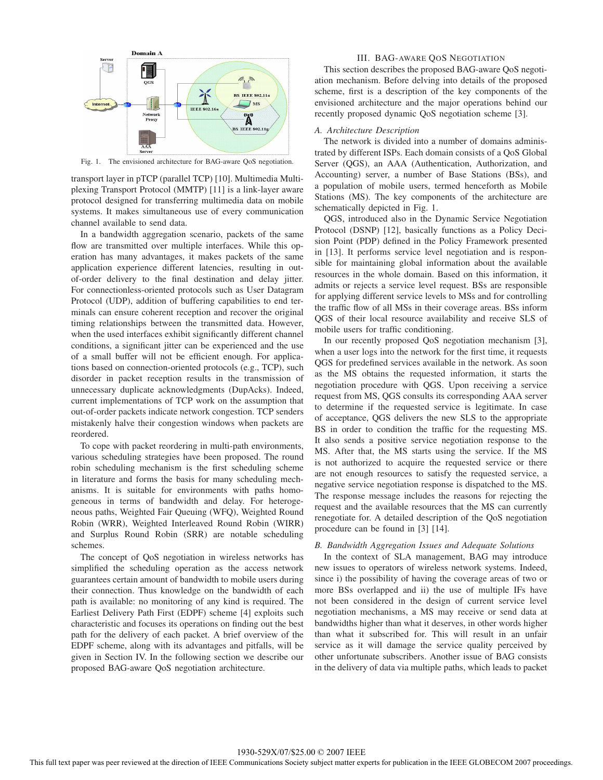

Fig. 1. The envisioned architecture for BAG-aware QoS negotiation.

transport layer in pTCP (parallel TCP) [10]. Multimedia Multiplexing Transport Protocol (MMTP) [11] is a link-layer aware protocol designed for transferring multimedia data on mobile systems. It makes simultaneous use of every communication channel available to send data.

In a bandwidth aggregation scenario, packets of the same flow are transmitted over multiple interfaces. While this operation has many advantages, it makes packets of the same application experience different latencies, resulting in outof-order delivery to the final destination and delay jitter. For connectionless-oriented protocols such as User Datagram Protocol (UDP), addition of buffering capabilities to end terminals can ensure coherent reception and recover the original timing relationships between the transmitted data. However, when the used interfaces exhibit significantly different channel conditions, a significant jitter can be experienced and the use of a small buffer will not be efficient enough. For applications based on connection-oriented protocols (e.g., TCP), such disorder in packet reception results in the transmission of unnecessary duplicate acknowledgments (DupAcks). Indeed, current implementations of TCP work on the assumption that out-of-order packets indicate network congestion. TCP senders mistakenly halve their congestion windows when packets are reordered.

To cope with packet reordering in multi-path environments, various scheduling strategies have been proposed. The round robin scheduling mechanism is the first scheduling scheme in literature and forms the basis for many scheduling mechanisms. It is suitable for environments with paths homogeneous in terms of bandwidth and delay. For heterogeneous paths, Weighted Fair Queuing (WFQ), Weighted Round Robin (WRR), Weighted Interleaved Round Robin (WIRR) and Surplus Round Robin (SRR) are notable scheduling schemes.

The concept of QoS negotiation in wireless networks has simplified the scheduling operation as the access network guarantees certain amount of bandwidth to mobile users during their connection. Thus knowledge on the bandwidth of each path is available: no monitoring of any kind is required. The Earliest Delivery Path First (EDPF) scheme [4] exploits such characteristic and focuses its operations on finding out the best path for the delivery of each packet. A brief overview of the EDPF scheme, along with its advantages and pitfalls, will be given in Section IV. In the following section we describe our proposed BAG-aware QoS negotiation architecture.

# III. BAG-AWARE QOS NEGOTIATION

This section describes the proposed BAG-aware QoS negotiation mechanism. Before delving into details of the proposed scheme, first is a description of the key components of the envisioned architecture and the major operations behind our recently proposed dynamic QoS negotiation scheme [3].

# *A. Architecture Description*

The network is divided into a number of domains administrated by different ISPs. Each domain consists of a QoS Global Server (QGS), an AAA (Authentication, Authorization, and Accounting) server, a number of Base Stations (BSs), and a population of mobile users, termed henceforth as Mobile Stations (MS). The key components of the architecture are schematically depicted in Fig. 1.

QGS, introduced also in the Dynamic Service Negotiation Protocol (DSNP) [12], basically functions as a Policy Decision Point (PDP) defined in the Policy Framework presented in [13]. It performs service level negotiation and is responsible for maintaining global information about the available resources in the whole domain. Based on this information, it admits or rejects a service level request. BSs are responsible for applying different service levels to MSs and for controlling the traffic flow of all MSs in their coverage areas. BSs inform QGS of their local resource availability and receive SLS of mobile users for traffic conditioning.

In our recently proposed QoS negotiation mechanism [3], when a user logs into the network for the first time, it requests QGS for predefined services available in the network. As soon as the MS obtains the requested information, it starts the negotiation procedure with QGS. Upon receiving a service request from MS, QGS consults its corresponding AAA server to determine if the requested service is legitimate. In case of acceptance, QGS delivers the new SLS to the appropriate BS in order to condition the traffic for the requesting MS. It also sends a positive service negotiation response to the MS. After that, the MS starts using the service. If the MS is not authorized to acquire the requested service or there are not enough resources to satisfy the requested service, a negative service negotiation response is dispatched to the MS. The response message includes the reasons for rejecting the request and the available resources that the MS can currently renegotiate for. A detailed description of the QoS negotiation procedure can be found in [3] [14].

# *B. Bandwidth Aggregation Issues and Adequate Solutions*

In the context of SLA management, BAG may introduce new issues to operators of wireless network systems. Indeed, since i) the possibility of having the coverage areas of two or more BSs overlapped and ii) the use of multiple IFs have not been considered in the design of current service level negotiation mechanisms, a MS may receive or send data at bandwidths higher than what it deserves, in other words higher than what it subscribed for. This will result in an unfair service as it will damage the service quality perceived by other unfortunate subscribers. Another issue of BAG consists in the delivery of data via multiple paths, which leads to packet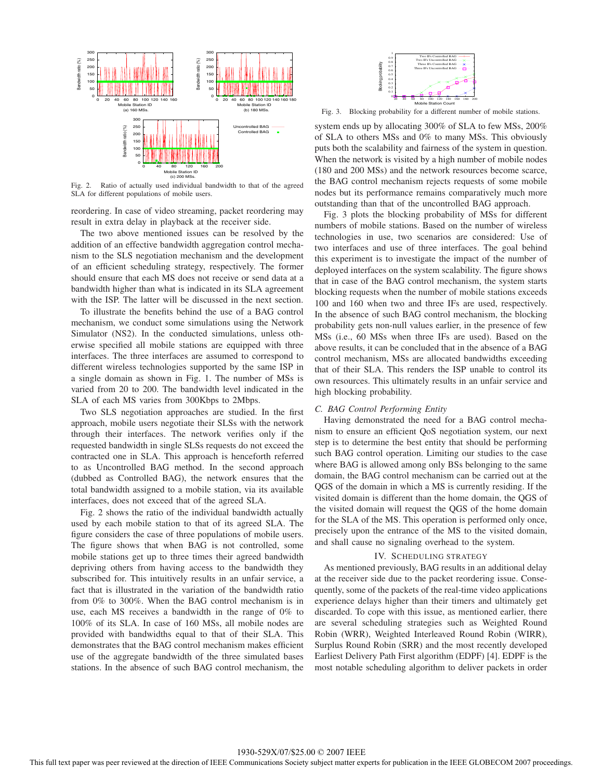

Fig. 2. Ratio of actually used individual bandwidth to that of the agreed SLA for different populations of mobile users.

reordering. In case of video streaming, packet reordering may result in extra delay in playback at the receiver side.

The two above mentioned issues can be resolved by the addition of an effective bandwidth aggregation control mechanism to the SLS negotiation mechanism and the development of an efficient scheduling strategy, respectively. The former should ensure that each MS does not receive or send data at a bandwidth higher than what is indicated in its SLA agreement with the ISP. The latter will be discussed in the next section.

To illustrate the benefits behind the use of a BAG control mechanism, we conduct some simulations using the Network Simulator (NS2). In the conducted simulations, unless otherwise specified all mobile stations are equipped with three interfaces. The three interfaces are assumed to correspond to different wireless technologies supported by the same ISP in a single domain as shown in Fig. 1. The number of MSs is varied from 20 to 200. The bandwidth level indicated in the SLA of each MS varies from 300Kbps to 2Mbps.

Two SLS negotiation approaches are studied. In the first approach, mobile users negotiate their SLSs with the network through their interfaces. The network verifies only if the requested bandwidth in single SLSs requests do not exceed the contracted one in SLA. This approach is henceforth referred to as Uncontrolled BAG method. In the second approach (dubbed as Controlled BAG), the network ensures that the total bandwidth assigned to a mobile station, via its available interfaces, does not exceed that of the agreed SLA.

Fig. 2 shows the ratio of the individual bandwidth actually used by each mobile station to that of its agreed SLA. The figure considers the case of three populations of mobile users. The figure shows that when BAG is not controlled, some mobile stations get up to three times their agreed bandwidth depriving others from having access to the bandwidth they subscribed for. This intuitively results in an unfair service, a fact that is illustrated in the variation of the bandwidth ratio from 0% to 300%. When the BAG control mechanism is in use, each MS receives a bandwidth in the range of 0% to 100% of its SLA. In case of 160 MSs, all mobile nodes are provided with bandwidths equal to that of their SLA. This demonstrates that the BAG control mechanism makes efficient use of the aggregate bandwidth of the three simulated bases stations. In the absence of such BAG control mechanism, the



Fig. 3. Blocking probability for a different number of mobile stations.

system ends up by allocating 300% of SLA to few MSs, 200% of SLA to others MSs and 0% to many MSs. This obviously puts both the scalability and fairness of the system in question. When the network is visited by a high number of mobile nodes (180 and 200 MSs) and the network resources become scarce, the BAG control mechanism rejects requests of some mobile nodes but its performance remains comparatively much more outstanding than that of the uncontrolled BAG approach.

Fig. 3 plots the blocking probability of MSs for different numbers of mobile stations. Based on the number of wireless technologies in use, two scenarios are considered: Use of two interfaces and use of three interfaces. The goal behind this experiment is to investigate the impact of the number of deployed interfaces on the system scalability. The figure shows that in case of the BAG control mechanism, the system starts blocking requests when the number of mobile stations exceeds 100 and 160 when two and three IFs are used, respectively. In the absence of such BAG control mechanism, the blocking probability gets non-null values earlier, in the presence of few MSs (i.e., 60 MSs when three IFs are used). Based on the above results, it can be concluded that in the absence of a BAG control mechanism, MSs are allocated bandwidths exceeding that of their SLA. This renders the ISP unable to control its own resources. This ultimately results in an unfair service and high blocking probability.

## *C. BAG Control Performing Entity*

Having demonstrated the need for a BAG control mechanism to ensure an efficient QoS negotiation system, our next step is to determine the best entity that should be performing such BAG control operation. Limiting our studies to the case where BAG is allowed among only BSs belonging to the same domain, the BAG control mechanism can be carried out at the QGS of the domain in which a MS is currently residing. If the visited domain is different than the home domain, the QGS of the visited domain will request the QGS of the home domain for the SLA of the MS. This operation is performed only once, precisely upon the entrance of the MS to the visited domain, and shall cause no signaling overhead to the system.

## IV. SCHEDULING STRATEGY

As mentioned previously, BAG results in an additional delay at the receiver side due to the packet reordering issue. Consequently, some of the packets of the real-time video applications experience delays higher than their timers and ultimately get discarded. To cope with this issue, as mentioned earlier, there are several scheduling strategies such as Weighted Round Robin (WRR), Weighted Interleaved Round Robin (WIRR), Surplus Round Robin (SRR) and the most recently developed Earliest Delivery Path First algorithm (EDPF) [4]. EDPF is the most notable scheduling algorithm to deliver packets in order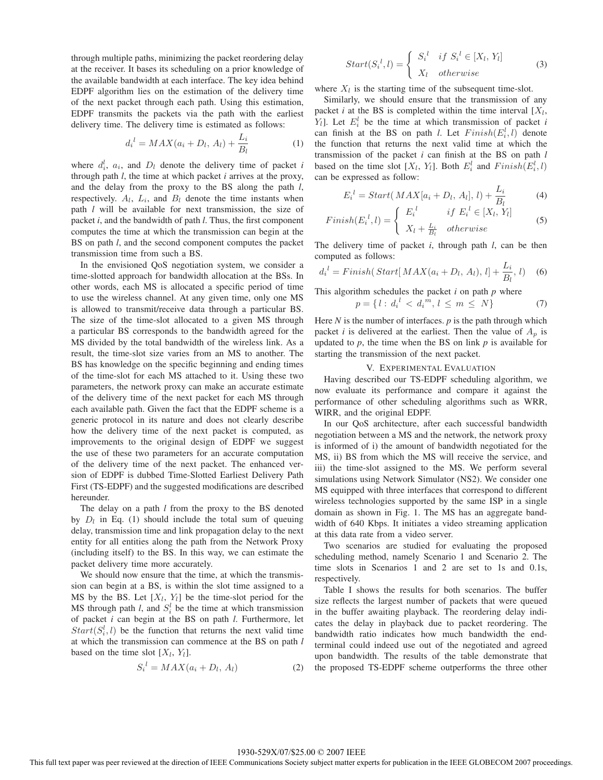through multiple paths, minimizing the packet reordering delay at the receiver. It bases its scheduling on a prior knowledge of the available bandwidth at each interface. The key idea behind EDPF algorithm lies on the estimation of the delivery time of the next packet through each path. Using this estimation, EDPF transmits the packets via the path with the earliest delivery time. The delivery time is estimated as follows:

$$
d_i^{\ l} = MAX(a_i + D_l, A_l) + \frac{L_i}{B_l}
$$
 (1)

where  $d_i^l$ ,  $a_i$ , and  $D_l$  denote the delivery time of packet *i* through path *l*, the time at which packet *i* arrives at the proxy, and the delay from the proxy to the BS along the path *l*, respectively.  $A_l$ ,  $L_i$ , and  $B_l$  denote the time instants when path *l* will be available for next transmission, the size of packet *i*, and the bandwidth of path *l*. Thus, the first component computes the time at which the transmission can begin at the BS on path *l*, and the second component computes the packet transmission time from such a BS.

In the envisioned QoS negotiation system, we consider a time-slotted approach for bandwidth allocation at the BSs. In other words, each MS is allocated a specific period of time to use the wireless channel. At any given time, only one MS is allowed to transmit/receive data through a particular BS. The size of the time-slot allocated to a given MS through a particular BS corresponds to the bandwidth agreed for the MS divided by the total bandwidth of the wireless link. As a result, the time-slot size varies from an MS to another. The BS has knowledge on the specific beginning and ending times of the time-slot for each MS attached to it. Using these two parameters, the network proxy can make an accurate estimate of the delivery time of the next packet for each MS through each available path. Given the fact that the EDPF scheme is a generic protocol in its nature and does not clearly describe how the delivery time of the next packet is computed, as improvements to the original design of EDPF we suggest the use of these two parameters for an accurate computation of the delivery time of the next packet. The enhanced version of EDPF is dubbed Time-Slotted Earliest Delivery Path First (TS-EDPF) and the suggested modifications are described hereunder.

The delay on a path *l* from the proxy to the BS denoted by  $D_l$  in Eq. (1) should include the total sum of queuing delay, transmission time and link propagation delay to the next entity for all entities along the path from the Network Proxy (including itself) to the BS. In this way, we can estimate the packet delivery time more accurately.

We should now ensure that the time, at which the transmission can begin at a BS, is within the slot time assigned to a MS by the BS. Let  $[X_l, Y_l]$  be the time-slot period for the MS through path  $l$ , and  $S_i^l$  be the time at which transmission of packet *i* can begin at the BS on path *l*. Furthermore, let  $Start(S_i^l, l)$  be the function that returns the next valid time at which the transmission can commence at the BS on path *l* based on the time slot  $[X_l, Y_l]$ .

$$
S_i^{\ l} = MAX(a_i + D_l, A_l) \tag{2}
$$

$$
Start(S_i^l, l) = \begin{cases} S_i^l & if \ S_i^l \in [X_l, Y_l] \\ X_l & otherwise \end{cases}
$$
 (3)

where  $X_l$  is the starting time of the subsequent time-slot.

Similarly, we should ensure that the transmission of any packet *i* at the BS is completed within the time interval  $[X_l,$  $Y_l$ ]. Let  $E_i^l$  be the time at which transmission of packet *i* can finish at the BS on path *l*. Let  $Finish(E_i^l, l)$  denote the function that returns the next valid time at which the transmission of the packet *i* can finish at the BS on path *l* based on the time slot  $[X_l, Y_l]$ . Both  $E_i^l$  and  $Finish(E_i^l, l)$ can be expressed as follow:

$$
E_i^{\ l} = Start(MAX[a_i + D_l, A_l], l) + \frac{L_i}{B_l}
$$
 (4)

$$
Finish(E_i^l, l) = \begin{cases} E_i^l & if \ E_i^l \in [X_l, Y_l] \\ X_l + \frac{L_i}{B_l} & otherwise \end{cases}
$$
 (5)

The delivery time of packet *i*, through path *l*, can be then computed as follows:

$$
d_i^{\ l} = Finish(Start[MAX(a_i + D_l, A_l), l] + \frac{L_i}{B_l}, l)
$$
 (6)

This algorithm schedules the packet *i* on path *p* where  
\n
$$
p = \{l : d_i^l < d_i^m, l \leq m \leq N\}
$$
\n(7)

Here  $N$  is the number of interfaces.  $p$  is the path through which packet *i* is delivered at the earliest. Then the value of  $A_p$  is updated to *p*, the time when the BS on link *p* is available for starting the transmission of the next packet.

# V. EXPERIMENTAL EVALUATION

Having described our TS-EDPF scheduling algorithm, we now evaluate its performance and compare it against the performance of other scheduling algorithms such as WRR, WIRR, and the original EDPF.

In our QoS architecture, after each successful bandwidth negotiation between a MS and the network, the network proxy is informed of i) the amount of bandwidth negotiated for the MS, ii) BS from which the MS will receive the service, and iii) the time-slot assigned to the MS. We perform several simulations using Network Simulator (NS2). We consider one MS equipped with three interfaces that correspond to different wireless technologies supported by the same ISP in a single domain as shown in Fig. 1. The MS has an aggregate bandwidth of 640 Kbps. It initiates a video streaming application at this data rate from a video server.

Two scenarios are studied for evaluating the proposed scheduling method, namely Scenario 1 and Scenario 2. The time slots in Scenarios 1 and 2 are set to 1s and 0.1s, respectively.

Table I shows the results for both scenarios. The buffer size reflects the largest number of packets that were queued in the buffer awaiting playback. The reordering delay indicates the delay in playback due to packet reordering. The bandwidth ratio indicates how much bandwidth the endterminal could indeed use out of the negotiated and agreed upon bandwidth. The results of the table demonstrate that the proposed TS-EDPF scheme outperforms the three other